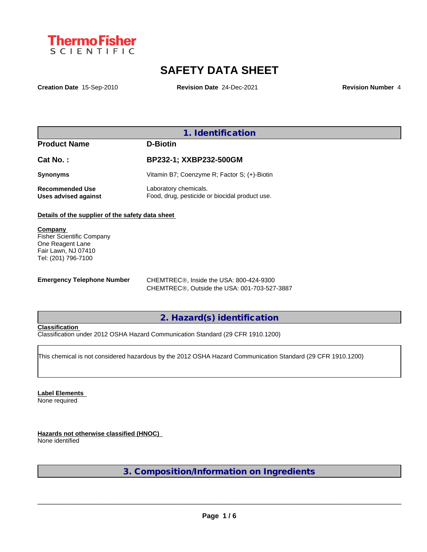

# **SAFETY DATA SHEET**

**Creation Date** 15-Sep-2010 **Revision Date** 24-Dec-2021 **Revision Number** 4

## **1. Identification**

| BP232-1; XXBP232-500GM                                                  |
|-------------------------------------------------------------------------|
| Vitamin B7; Coenzyme R; Factor S; (+)-Biotin                            |
| Laboratory chemicals.<br>Food, drug, pesticide or biocidal product use. |
|                                                                         |

**Details of the supplier of the safety data sheet**

**Company**  Fisher Scientific Company One Reagent Lane Fair Lawn, NJ 07410 Tel: (201) 796-7100

**Emergency Telephone Number** CHEMTREC®, Inside the USA: 800-424-9300 CHEMTREC®, Outside the USA: 001-703-527-3887

## **2. Hazard(s) identification**

## **Classification**

Classification under 2012 OSHA Hazard Communication Standard (29 CFR 1910.1200)

This chemical is not considered hazardous by the 2012 OSHA Hazard Communication Standard (29 CFR 1910.1200)

**Label Elements** None required

**Hazards not otherwise classified (HNOC)** None identified

**3. Composition/Information on Ingredients**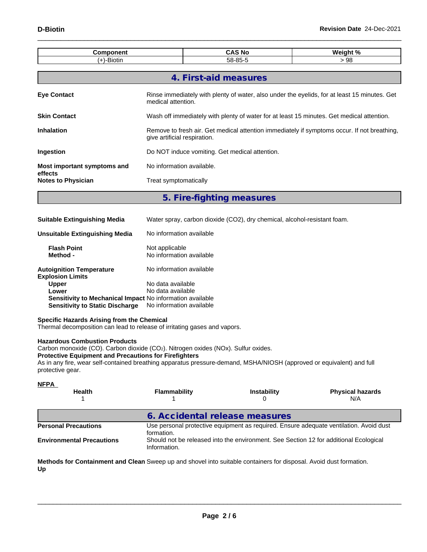| Component                                                                                                                                |                                                                                                                             | <b>CAS No</b>         | Weight % |  |  |  |  |  |
|------------------------------------------------------------------------------------------------------------------------------------------|-----------------------------------------------------------------------------------------------------------------------------|-----------------------|----------|--|--|--|--|--|
| $(+)$ -Biotin                                                                                                                            |                                                                                                                             | 58-85-5               | >98      |  |  |  |  |  |
|                                                                                                                                          |                                                                                                                             |                       |          |  |  |  |  |  |
|                                                                                                                                          |                                                                                                                             | 4. First-aid measures |          |  |  |  |  |  |
| Rinse immediately with plenty of water, also under the eyelids, for at least 15 minutes. Get<br><b>Eye Contact</b><br>medical attention. |                                                                                                                             |                       |          |  |  |  |  |  |
| <b>Skin Contact</b>                                                                                                                      | Wash off immediately with plenty of water for at least 15 minutes. Get medical attention.                                   |                       |          |  |  |  |  |  |
| <b>Inhalation</b>                                                                                                                        | Remove to fresh air. Get medical attention immediately if symptoms occur. If not breathing,<br>give artificial respiration. |                       |          |  |  |  |  |  |
| Ingestion                                                                                                                                | Do NOT induce vomiting. Get medical attention.                                                                              |                       |          |  |  |  |  |  |
| Most important symptoms and<br>effects                                                                                                   | No information available.                                                                                                   |                       |          |  |  |  |  |  |
| <b>Notes to Physician</b>                                                                                                                | Treat symptomatically                                                                                                       |                       |          |  |  |  |  |  |
|                                                                                                                                          |                                                                                                                             |                       |          |  |  |  |  |  |

**5. Fire-fighting measures**

| <b>Suitable Extinguishing Media</b>                        | Water spray, carbon dioxide (CO2), dry chemical, alcohol-resistant foam. |
|------------------------------------------------------------|--------------------------------------------------------------------------|
| Unsuitable Extinguishing Media                             | No information available                                                 |
| <b>Flash Point</b><br>Method -                             | Not applicable<br>No information available                               |
| <b>Autoignition Temperature</b><br><b>Explosion Limits</b> | No information available                                                 |
| <b>Upper</b>                                               | No data available                                                        |
| Lower                                                      | No data available                                                        |
| Sensitivity to Mechanical Impact No information available  |                                                                          |
| <b>Sensitivity to Static Discharge</b>                     | No information available                                                 |

### **Specific Hazards Arising from the Chemical**

Thermal decomposition can lead to release of irritating gases and vapors.

### **Hazardous Combustion Products**

Carbon monoxide (CO). Carbon dioxide (CO<sub>2</sub>). Nitrogen oxides (NOx). Sulfur oxides.

### **Protective Equipment and Precautions for Firefighters**

As in any fire, wear self-contained breathing apparatus pressure-demand, MSHA/NIOSH (approved or equivalent) and full protective gear.

| <u>NFPA</u><br><b>Health</b>     | <b>Flammability</b><br><b>Instability</b><br><b>Physical hazards</b><br>N/A |                                                                                       |                                                                                        |  |  |  |
|----------------------------------|-----------------------------------------------------------------------------|---------------------------------------------------------------------------------------|----------------------------------------------------------------------------------------|--|--|--|
|                                  | 6. Accidental release measures                                              |                                                                                       |                                                                                        |  |  |  |
| <b>Personal Precautions</b>      | formation.                                                                  |                                                                                       | Use personal protective equipment as required. Ensure adequate ventilation. Avoid dust |  |  |  |
| <b>Environmental Precautions</b> | Information.                                                                | Should not be released into the environment. See Section 12 for additional Ecological |                                                                                        |  |  |  |

**Methods for Containment and Clean** Sweep up and shovel into suitable containers for disposal. Avoid dust formation. **Up**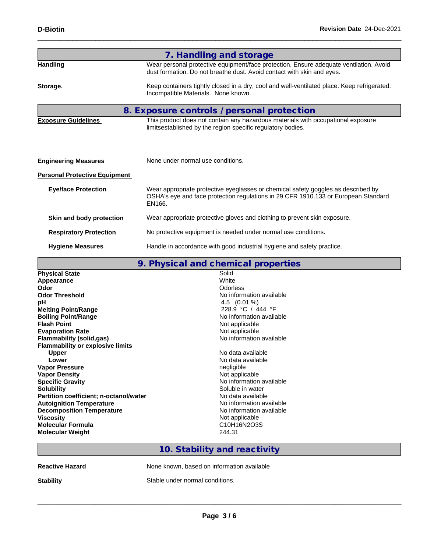|                                      | 7. Handling and storage                                                                                                                                                           |
|--------------------------------------|-----------------------------------------------------------------------------------------------------------------------------------------------------------------------------------|
| <b>Handling</b>                      | Wear personal protective equipment/face protection. Ensure adequate ventilation. Avoid<br>dust formation. Do not breathe dust. Avoid contact with skin and eyes.                  |
| Storage.                             | Keep containers tightly closed in a dry, cool and well-ventilated place. Keep refrigerated.<br>Incompatible Materials. None known.                                                |
|                                      | 8. Exposure controls / personal protection                                                                                                                                        |
| <b>Exposure Guidelines</b>           | This product does not contain any hazardous materials with occupational exposure<br>limitsestablished by the region specific regulatory bodies.                                   |
| <b>Engineering Measures</b>          | None under normal use conditions.                                                                                                                                                 |
| <b>Personal Protective Equipment</b> |                                                                                                                                                                                   |
| <b>Eye/face Protection</b>           | Wear appropriate protective eyeglasses or chemical safety goggles as described by<br>OSHA's eye and face protection regulations in 29 CFR 1910.133 or European Standard<br>EN166. |
| Skin and body protection             | Wear appropriate protective gloves and clothing to prevent skin exposure.                                                                                                         |
| <b>Respiratory Protection</b>        | No protective equipment is needed under normal use conditions.                                                                                                                    |
| <b>Hygiene Measures</b>              | Handle in accordance with good industrial hygiene and safety practice.                                                                                                            |

|                                               | 9. Physical and chemical properties |  |
|-----------------------------------------------|-------------------------------------|--|
| <b>Physical State</b>                         | Solid                               |  |
| Appearance                                    | White                               |  |
| Odor                                          | <b>Odorless</b>                     |  |
| <b>Odor Threshold</b>                         | No information available            |  |
| pH                                            | 4.5 $(0.01\%)$                      |  |
| <b>Melting Point/Range</b>                    | 228.9 °C / 444 °F                   |  |
| <b>Boiling Point/Range</b>                    | No information available            |  |
| <b>Flash Point</b>                            | Not applicable                      |  |
| <b>Evaporation Rate</b>                       | Not applicable                      |  |
| Flammability (solid,gas)                      | No information available            |  |
| <b>Flammability or explosive limits</b>       |                                     |  |
| <b>Upper</b>                                  | No data available                   |  |
| Lower                                         | No data available                   |  |
| <b>Vapor Pressure</b>                         | negligible                          |  |
| <b>Vapor Density</b>                          | Not applicable                      |  |
| <b>Specific Gravity</b>                       | No information available            |  |
| <b>Solubility</b>                             | Soluble in water                    |  |
| <b>Partition coefficient; n-octanol/water</b> | No data available                   |  |
| <b>Autoignition Temperature</b>               | No information available            |  |
| <b>Decomposition Temperature</b>              | No information available            |  |
| <b>Viscosity</b>                              | Not applicable                      |  |
| <b>Molecular Formula</b>                      | C10H16N2O3S                         |  |
| <b>Molecular Weight</b>                       | 244.31                              |  |
|                                               |                                     |  |

# **10. Stability and reactivity**

| <b>Reactive Hazard</b> |  |
|------------------------|--|
|------------------------|--|

None known, based on information available

**Stability** Stable under normal conditions.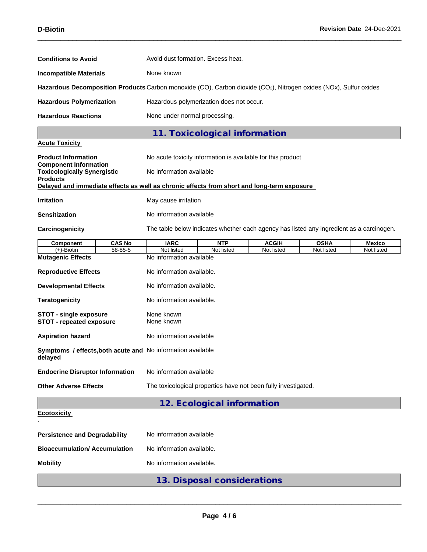| <b>Conditions to Avoid</b>                                                                                        |               | Avoid dust formation. Excess heat.                                                       |                                          |              |             |            |  |  |  |  |
|-------------------------------------------------------------------------------------------------------------------|---------------|------------------------------------------------------------------------------------------|------------------------------------------|--------------|-------------|------------|--|--|--|--|
| <b>Incompatible Materials</b>                                                                                     |               | None known                                                                               |                                          |              |             |            |  |  |  |  |
| Hazardous Decomposition Products Carbon monoxide (CO), Carbon dioxide (CO2), Nitrogen oxides (NOx), Sulfur oxides |               |                                                                                          |                                          |              |             |            |  |  |  |  |
| <b>Hazardous Polymerization</b>                                                                                   |               |                                                                                          | Hazardous polymerization does not occur. |              |             |            |  |  |  |  |
| <b>Hazardous Reactions</b>                                                                                        |               | None under normal processing.                                                            |                                          |              |             |            |  |  |  |  |
|                                                                                                                   |               |                                                                                          | 11. Toxicological information            |              |             |            |  |  |  |  |
| <b>Acute Toxicity</b>                                                                                             |               |                                                                                          |                                          |              |             |            |  |  |  |  |
| <b>Product Information</b><br><b>Component Information</b>                                                        |               | No acute toxicity information is available for this product                              |                                          |              |             |            |  |  |  |  |
| <b>Toxicologically Synergistic</b><br><b>Products</b>                                                             |               | No information available                                                                 |                                          |              |             |            |  |  |  |  |
| Delayed and immediate effects as well as chronic effects from short and long-term exposure                        |               |                                                                                          |                                          |              |             |            |  |  |  |  |
| <b>Irritation</b>                                                                                                 |               | May cause irritation                                                                     |                                          |              |             |            |  |  |  |  |
| <b>Sensitization</b>                                                                                              |               | No information available                                                                 |                                          |              |             |            |  |  |  |  |
| Carcinogenicity                                                                                                   |               | The table below indicates whether each agency has listed any ingredient as a carcinogen. |                                          |              |             |            |  |  |  |  |
| <b>Component</b>                                                                                                  | <b>CAS No</b> | <b>IARC</b>                                                                              | <b>NTP</b>                               | <b>ACGIH</b> | <b>OSHA</b> | Mexico     |  |  |  |  |
| $(+)$ -Biotin                                                                                                     | 58-85-5       | Not listed                                                                               | Not listed                               | Not listed   | Not listed  | Not listed |  |  |  |  |
| <b>Mutagenic Effects</b>                                                                                          |               | No information available                                                                 |                                          |              |             |            |  |  |  |  |
| <b>Reproductive Effects</b>                                                                                       |               | No information available.                                                                |                                          |              |             |            |  |  |  |  |
| <b>Developmental Effects</b>                                                                                      |               | No information available.                                                                |                                          |              |             |            |  |  |  |  |
| <b>Teratogenicity</b>                                                                                             |               | No information available.                                                                |                                          |              |             |            |  |  |  |  |
| None known<br><b>STOT - single exposure</b><br><b>STOT - repeated exposure</b><br>None known                      |               |                                                                                          |                                          |              |             |            |  |  |  |  |
| <b>Aspiration hazard</b>                                                                                          |               | No information available                                                                 |                                          |              |             |            |  |  |  |  |
| delayed                                                                                                           |               | Symptoms / effects, both acute and No information available                              |                                          |              |             |            |  |  |  |  |
| <b>Endocrine Disruptor Information</b>                                                                            |               | No information available                                                                 |                                          |              |             |            |  |  |  |  |
| <b>Other Adverse Effects</b>                                                                                      |               | The toxicological properties have not been fully investigated.                           |                                          |              |             |            |  |  |  |  |
|                                                                                                                   |               |                                                                                          | 12. Ecological information               |              |             |            |  |  |  |  |
| <b>Ecotoxicity</b>                                                                                                |               |                                                                                          |                                          |              |             |            |  |  |  |  |
| <b>Persistence and Degradability</b>                                                                              |               | No information available                                                                 |                                          |              |             |            |  |  |  |  |
| <b>Bioaccumulation/ Accumulation</b>                                                                              |               | No information available.                                                                |                                          |              |             |            |  |  |  |  |
|                                                                                                                   |               |                                                                                          |                                          |              |             |            |  |  |  |  |

**Mobility** No information available.

**13. Disposal considerations**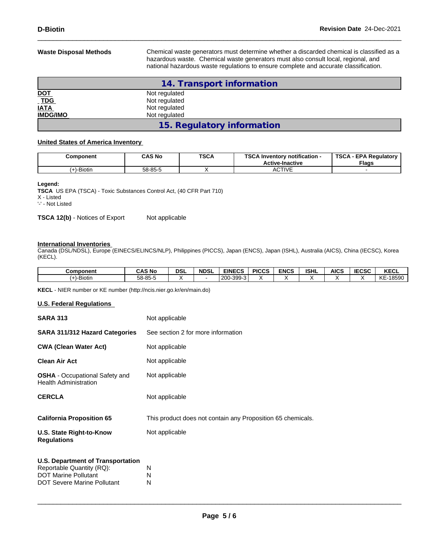**Waste Disposal Methods** Chemical waste generators must determine whether a discarded chemical is classified as a hazardous waste. Chemical waste generators must also consult local, regional, and national hazardous waste regulations to ensure complete and accurate classification.

|                              | 14. Transport information  |  |
|------------------------------|----------------------------|--|
| <u>DOT</u>                   | Not regulated              |  |
| $\underline{\overline{TDG}}$ | Not regulated              |  |
| <b>IATA</b>                  | Not regulated              |  |
| <b>IMDG/IMO</b>              | Not regulated              |  |
|                              | 15. Regulatory information |  |

### **United States of America Inventory**

| Component     | <b>CAS No</b> | <b>TSCA</b> | TOO ALL<br>Inventory notification -<br>コレア<br><b>Active-Inactive</b> | <b>TSCA</b><br>. - EPA Reaulatorv<br>Flags |
|---------------|---------------|-------------|----------------------------------------------------------------------|--------------------------------------------|
| $(+)$ -Biotin | 58-85-5       |             | <b>ACTIVE</b>                                                        |                                            |

### **Legend:**

**TSCA** US EPA (TSCA) - Toxic Substances Control Act, (40 CFR Part 710) X - Listed '-' - Not Listed

**TSCA 12(b)** - Notices of Export Not applicable

### **International Inventories**

Canada (DSL/NDSL), Europe (EINECS/ELINCS/NLP), Philippines (PICCS), Japan (ENCS), Japan (ISHL), Australia (AICS), China (IECSC), Korea (KECL).

| <b>Component</b>           | <b>CAS No</b> | <b>DSL</b> | <b>NDSL</b> | <b>EINECS</b><br>-65                     | <b>PICCS</b> | <b>ENCS</b> | <b>ISHL</b> | AICS | <b>IECSC</b> | <b>KECL</b> |
|----------------------------|---------------|------------|-------------|------------------------------------------|--------------|-------------|-------------|------|--------------|-------------|
| $\mathbf{r}$<br>(+)-Biotin | 58-85-5       |            |             | -300<br>200<br>$\sim$<br>$\cdot$<br>ັບບປ |              |             |             |      |              | KE<br>18590 |

**KECL** - NIER number or KE number (http://ncis.nier.go.kr/en/main.do)

### **U.S. Federal Regulations**

| <b>SARA 313</b>                                                       | Not applicable                                              |  |  |  |  |
|-----------------------------------------------------------------------|-------------------------------------------------------------|--|--|--|--|
| SARA 311/312 Hazard Categories                                        | See section 2 for more information                          |  |  |  |  |
| <b>CWA (Clean Water Act)</b>                                          | Not applicable                                              |  |  |  |  |
| <b>Clean Air Act</b>                                                  | Not applicable                                              |  |  |  |  |
| <b>OSHA</b> - Occupational Safety and<br><b>Health Administration</b> | Not applicable                                              |  |  |  |  |
| <b>CERCLA</b>                                                         | Not applicable                                              |  |  |  |  |
| <b>California Proposition 65</b>                                      | This product does not contain any Proposition 65 chemicals. |  |  |  |  |
| U.S. State Right-to-Know<br><b>Regulations</b>                        | Not applicable                                              |  |  |  |  |
| <b>U.S. Department of Transportation</b>                              |                                                             |  |  |  |  |
| Reportable Quantity (RQ):                                             | N                                                           |  |  |  |  |
| <b>DOT Marine Pollutant</b>                                           | N                                                           |  |  |  |  |
| DOT Severe Marine Pollutant                                           | N                                                           |  |  |  |  |